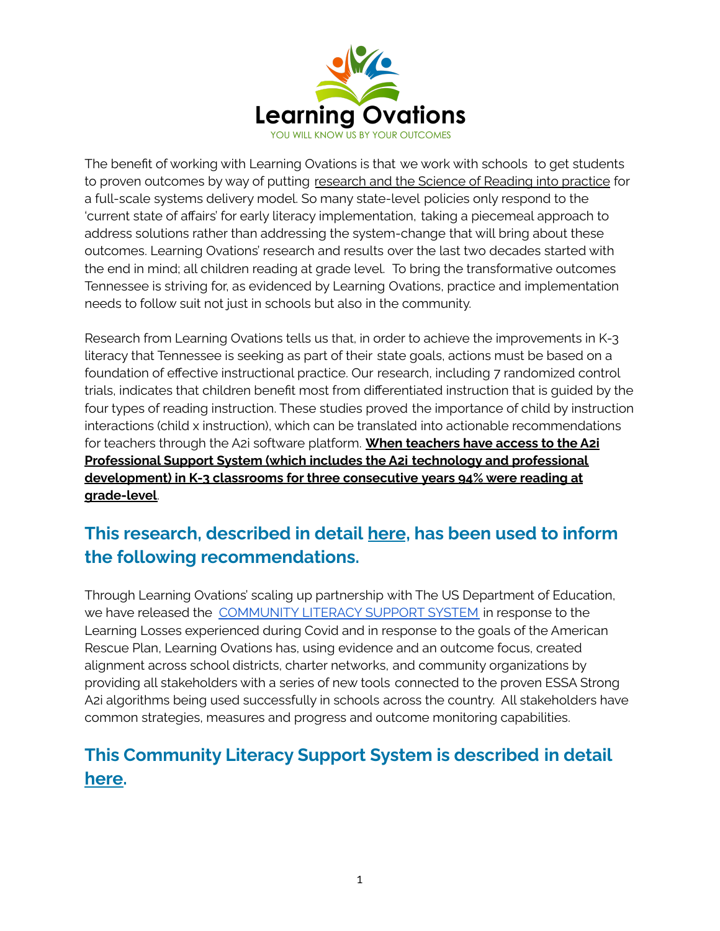

The benefit of working with Learning Ovations is that we work with schools to get students to proven outcomes by way of putting research and the Science of Reading into practice for a full-scale systems delivery model. So many state-level policies only respond to the 'current state of affairs' for early literacy implementation, taking a piecemeal approach to address solutions rather than addressing the system-change that will bring about these outcomes. Learning Ovations' research and results over the last two decades started with the end in mind; all children reading at grade level. To bring the transformative outcomes Tennessee is striving for, as evidenced by Learning Ovations, practice and implementation needs to follow suit not just in schools but also in the community.

Research from Learning Ovations tells us that, in order to achieve the improvements in K-3 literacy that Tennessee is seeking as part of their state goals, actions must be based on a foundation of effective instructional practice. Our research, including 7 randomized control trials, indicates that children benefit most from differentiated instruction that is guided by the four types of reading instruction. These studies proved the importance of child by instruction interactions (child x instruction), which can be translated into actionable recommendations for teachers through the A2i software platform. **When teachers have access to the A2i Professional Support System (which includes the A2i technology and professional development) in K-3 classrooms for three consecutive years 94% were reading at grade-level**.

# **This research, described in detail [here](https://a2i-activities.s3.amazonaws.com/publications/White%20Paper_Dr.%20Connor%27s%20Research.pdf), has been used to inform the following recommendations.**

Through Learning Ovations' scaling up partnership with The US Department of Education, we have released the [COMMUNITY](http://learningovations.com/community) LITERACY SUPPORT SYSTEM in response to the Learning Losses experienced during Covid and in response to the goals of the American Rescue Plan, Learning Ovations has, using evidence and an outcome focus, created alignment across school districts, charter networks, and community organizations by providing all stakeholders with a series of new tools connected to the proven ESSA Strong A2i algorithms being used successfully in schools across the country. All stakeholders have common strategies, measures and progress and outcome monitoring capabilities.

# **This Community Literacy Support System is described in detail [here.](https://www.learningovations.com/community)**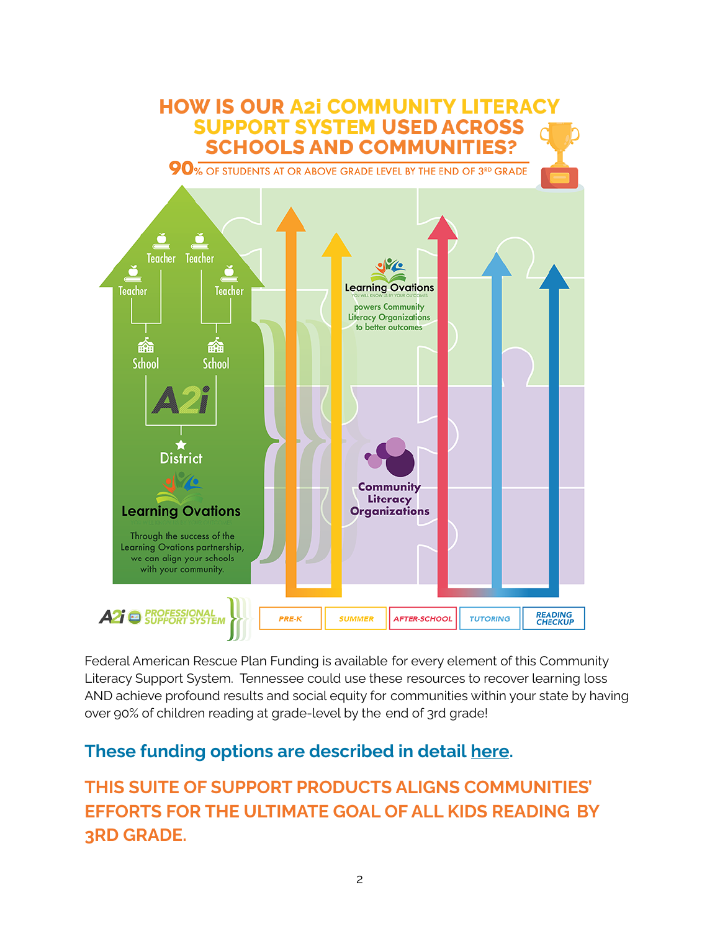

Federal American Rescue Plan Funding is available for every element of this Community Literacy Support System. Tennessee could use these resources to recover learning loss AND achieve profound results and social equity for communities within your state by having over 90% of children reading at grade-level by the end of 3rd grade!

## **These funding options are described in detail [here](http://learningovations.com/funding).**

**THIS SUITE OF SUPPORT PRODUCTS ALIGNS COMMUNITIES' EFFORTS FOR THE ULTIMATE GOAL OF ALL KIDS READING BY 3RD GRADE.**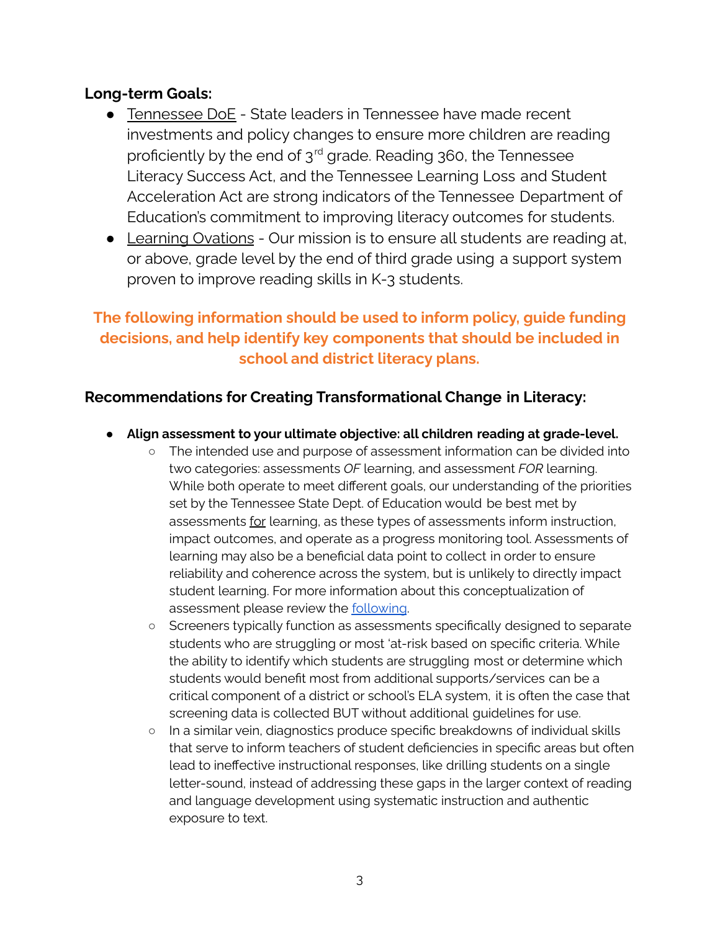### **Long-term Goals:**

- Tennessee DoE State leaders in Tennessee have made recent investments and policy changes to ensure more children are reading proficiently by the end of  $3<sup>rd</sup>$  grade. Reading 360, the Tennessee Literacy Success Act, and the Tennessee Learning Loss and Student Acceleration Act are strong indicators of the Tennessee Department of Education's commitment to improving literacy outcomes for students.
- Learning Ovations Our mission is to ensure all students are reading at, or above, grade level by the end of third grade using a support system proven to improve reading skills in K-3 students.

## **The following information should be used to inform policy, guide funding decisions, and help identify key components that should be included in school and district literacy plans.**

## **Recommendations for Creating Transformational Change in Literacy:**

- **Align assessment to your ultimate objective: all children reading at grade-level.**
	- The intended use and purpose of assessment information can be divided into two categories: assessments *OF* learning, and assessment *FOR* learning. While both operate to meet different goals, our understanding of the priorities set by the Tennessee State Dept. of Education would be best met by assessments for learning, as these types of assessments inform instruction, impact outcomes, and operate as a progress monitoring tool. Assessments of learning may also be a beneficial data point to collect in order to ensure reliability and coherence across the system, but is unlikely to directly impact student learning. For more information about this conceptualization of assessment please review the [following](https://drive.google.com/file/d/1LetsknTyc23CnKz0jFWCn0pkn17vX4oP/view?usp=sharing).
	- Screeners typically function as assessments specifically designed to separate students who are struggling or most 'at-risk based on specific criteria. While the ability to identify which students are struggling most or determine which students would benefit most from additional supports/services can be a critical component of a district or school's ELA system, it is often the case that screening data is collected BUT without additional guidelines for use.
	- In a similar vein, diagnostics produce specific breakdowns of individual skills that serve to inform teachers of student deficiencies in specific areas but often lead to ineffective instructional responses, like drilling students on a single letter-sound, instead of addressing these gaps in the larger context of reading and language development using systematic instruction and authentic exposure to text.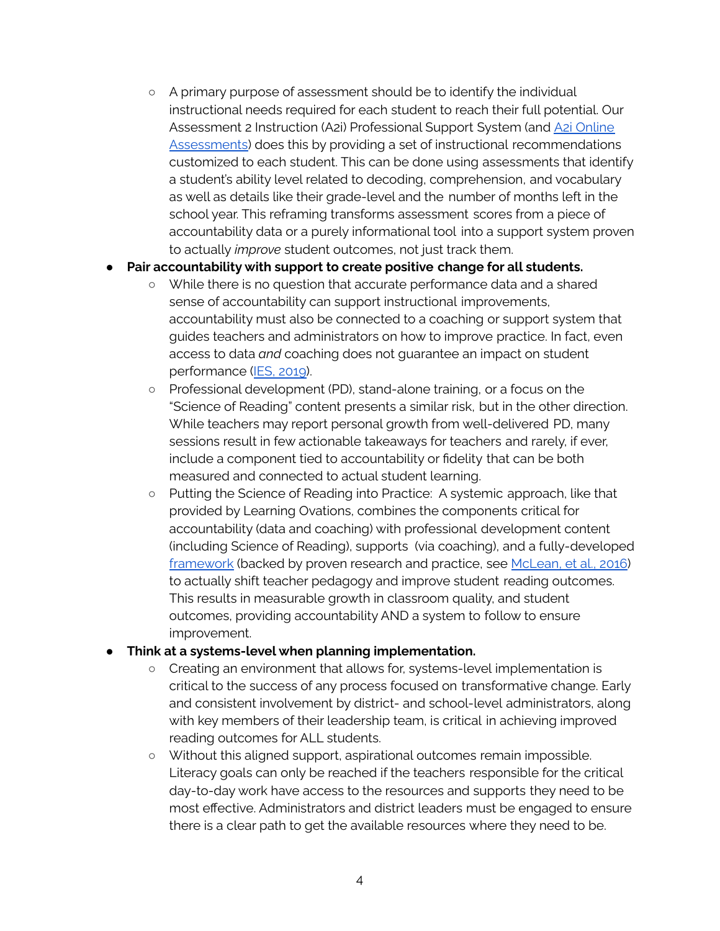○ A primary purpose of assessment should be to identify the individual instructional needs required for each student to reach their full potential. Our Assessment 2 Instruction (A2i) Professional Support System (and A2i [Online](https://drive.google.com/file/d/1UIrjkNxWXuJVQLADfo0q1kQ-_9moA8m7/view?usp=sharing) [Assessments\)](https://drive.google.com/file/d/1UIrjkNxWXuJVQLADfo0q1kQ-_9moA8m7/view?usp=sharing) does this by providing a set of instructional recommendations customized to each student. This can be done using assessments that identify a student's ability level related to decoding, comprehension, and vocabulary as well as details like their grade-level and the number of months left in the school year. This reframing transforms assessment scores from a piece of accountability data or a purely informational tool into a support system proven to actually *improve* student outcomes, not just track them.

#### ● **Pair accountability with support to create positive change for all students.**

- While there is no question that accurate performance data and a shared sense of accountability can support instructional improvements, accountability must also be connected to a coaching or support system that guides teachers and administrators on how to improve practice. In fact, even access to data *and* coaching does not guarantee an impact on student performance (IES, [2019\)](https://ies.ed.gov/ncee/projects/evaluation/tq_datadriven.asp).
- Professional development (PD), stand-alone training, or a focus on the "Science of Reading" content presents a similar risk, but in the other direction. While teachers may report personal growth from well-delivered PD, many sessions result in few actionable takeaways for teachers and rarely, if ever, include a component tied to accountability or fidelity that can be both measured and connected to actual student learning.
- Putting the Science of Reading into Practice: A systemic approach, like that provided by Learning Ovations, combines the components critical for accountability (data and coaching) with professional development content (including Science of Reading), supports (via coaching), and a fully-developed [framework](https://framework.learningovations.com/home) (backed by proven research and practice, see [McLean,](http://dx.doi.org/10.1016/j.jsp.2016.03.004) et al., 2016) to actually shift teacher pedagogy and improve student reading outcomes. This results in measurable growth in classroom quality, and student outcomes, providing accountability AND a system to follow to ensure improvement.

### ● **Think at a systems-level when planning implementation.**

- Creating an environment that allows for, systems-level implementation is critical to the success of any process focused on transformative change. Early and consistent involvement by district- and school-level administrators, along with key members of their leadership team, is critical in achieving improved reading outcomes for ALL students.
- Without this aligned support, aspirational outcomes remain impossible. Literacy goals can only be reached if the teachers responsible for the critical day-to-day work have access to the resources and supports they need to be most effective. Administrators and district leaders must be engaged to ensure there is a clear path to get the available resources where they need to be.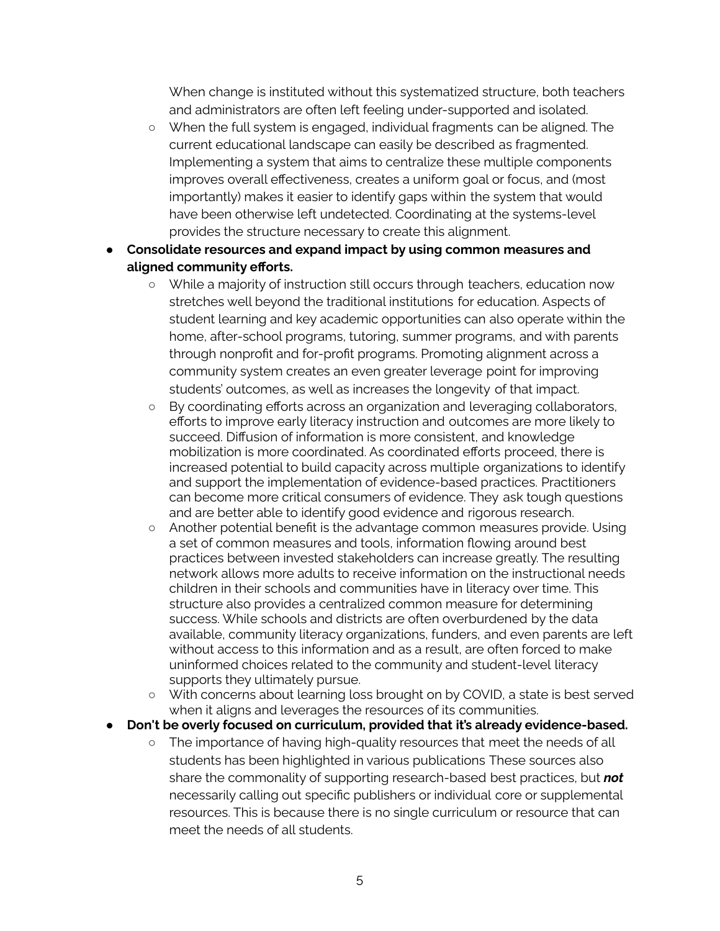When change is instituted without this systematized structure, both teachers and administrators are often left feeling under-supported and isolated.

- When the full system is engaged, individual fragments can be aligned. The current educational landscape can easily be described as fragmented. Implementing a system that aims to centralize these multiple components improves overall effectiveness, creates a uniform goal or focus, and (most importantly) makes it easier to identify gaps within the system that would have been otherwise left undetected. Coordinating at the systems-level provides the structure necessary to create this alignment.
- *●* **Consolidate resources and expand impact by using common measures and aligned community efforts.**
	- *○* While a majority of instruction still occurs through teachers, education now stretches well beyond the traditional institutions for education. Aspects of student learning and key academic opportunities can also operate within the home, after-school programs, tutoring, summer programs, and with parents through nonprofit and for-profit programs. Promoting alignment across a community system creates an even greater leverage point for improving students' outcomes, as well as increases the longevity of that impact.
	- By coordinating efforts across an organization and leveraging collaborators, efforts to improve early literacy instruction and outcomes are more likely to succeed. Diffusion of information is more consistent, and knowledge mobilization is more coordinated. As coordinated efforts proceed, there is increased potential to build capacity across multiple organizations to identify and support the implementation of evidence-based practices. Practitioners can become more critical consumers of evidence. They ask tough questions and are better able to identify good evidence and rigorous research.
	- Another potential benefit is the advantage common measures provide. Using a set of common measures and tools, information flowing around best practices between invested stakeholders can increase greatly. The resulting network allows more adults to receive information on the instructional needs children in their schools and communities have in literacy over time. This structure also provides a centralized common measure for determining success. While schools and districts are often overburdened by the data available, community literacy organizations, funders, and even parents are left without access to this information and as a result, are often forced to make uninformed choices related to the community and student-level literacy supports they ultimately pursue.
	- With concerns about learning loss brought on by COVID, a state is best served when it aligns and leverages the resources of its communities.
- *●* **Don't be overly focused on curriculum, provided that it's already evidence-based.**
	- *○* The importance of having high-quality resources that meet the needs of all students has been highlighted in various publications These sources also share the commonality of supporting research-based best practices, but *not* necessarily calling out specific publishers or individual core or supplemental resources. This is because there is no single curriculum or resource that can meet the needs of all students.